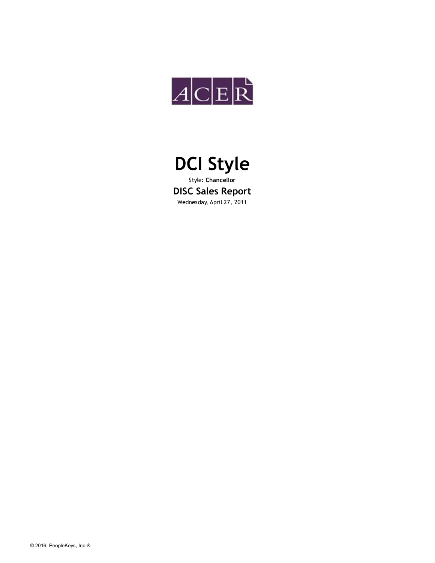



Style: **Chancellor DISC Sales Report** Wednesday, April 27, 2011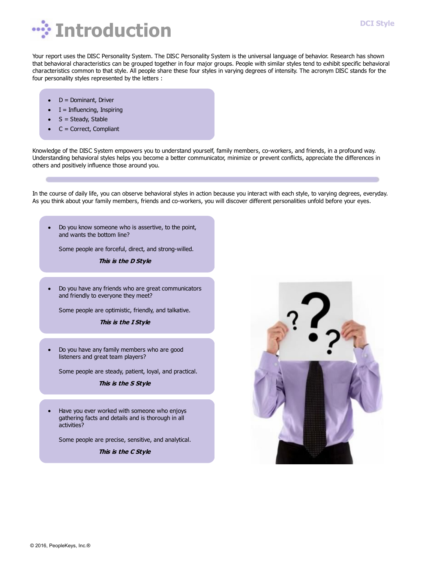

Your report uses the DISC Personality System. The DISC Personality System is the universal language of behavior. Research has shown that behavioral characteristics can be grouped together in four major groups. People with similar styles tend to exhibit specific behavioral characteristics common to that style. All people share these four styles in varying degrees of intensity. The acronym DISC stands for the four personality styles represented by the letters :

- D = Dominant, Driver
- $I = Influencing, Inspiring$
- $S = Steady$ , Stable
- C = Correct, Compliant

Knowledge of the DISC System empowers you to understand yourself, family members, co-workers, and friends, in a profound way. Understanding behavioral styles helps you become a better communicator, minimize or prevent conflicts, appreciate the differences in others and positively influence those around you.

In the course of daily life, you can observe behavioral styles in action because you interact with each style, to varying degrees, everyday. As you think about your family members, friends and co-workers, you will discover different personalities unfold before your eyes.

Do you know someone who is assertive, to the point, and wants the bottom line?

Some people are forceful, direct, and strong-willed.

**This is the D Style**

Do you have any friends who are great communicators  $\bullet$ and friendly to everyone they meet?

Some people are optimistic, friendly, and talkative.

**This is the I Style**

Do you have any family members who are good  $\bullet$ listeners and great team players?

Some people are steady, patient, loyal, and practical.

**This is the S Style**

Have you ever worked with someone who enjoys gathering facts and details and is thorough in all activities?

Some people are precise, sensitive, and analytical.

**This is the C Style**



**DCI Style**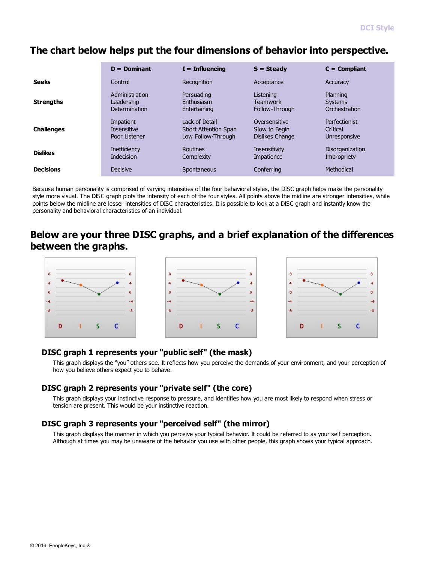## **The chart below helps put the four dimensions of behavior into perspective.**

|                   | $D =$ Dominant      | $I = Influencing$           | $S = Steadv$         | $C =$ Compliant      |
|-------------------|---------------------|-----------------------------|----------------------|----------------------|
| <b>Seeks</b>      | Control             | Recognition                 | Acceptance           | Accuracy             |
| <b>Strengths</b>  | Administration      | Persuading                  | Listening            | Planning             |
|                   | Leadership          | Enthusiasm                  | <b>Teamwork</b>      | <b>Systems</b>       |
|                   | Determination       | Entertaining                | Follow-Through       | Orchestration        |
| <b>Challenges</b> | Impatient           | Lack of Detail              | Oversensitive        | <b>Perfectionist</b> |
|                   | <b>Insensitive</b>  | <b>Short Attention Span</b> | Slow to Begin        | Critical             |
|                   | Poor Listener       | Low Follow-Through          | Dislikes Change      | Unresponsive         |
| <b>Dislikes</b>   | <b>Inefficiency</b> | Routines                    | <b>Insensitivity</b> | Disorganization      |
|                   | Indecision          | Complexity                  | Impatience           | Impropriety          |
| <b>Decisions</b>  | <b>Decisive</b>     | Spontaneous                 | Conferring           | Methodical           |

Because human personality is comprised of varying intensities of the four behavioral styles, the DISC graph helps make the personality style more visual. The DISC graph plots the intensity of each of the four styles. All points above the midline are stronger intensities, while points below the midline are lesser intensities of DISC characteristics. It is possible to look at a DISC graph and instantly know the personality and behavioral characteristics of an individual.

### **Below are your three DISC graphs, and a brief explanation of the differences between the graphs.**



#### **DISC graph 1 represents your "public self" (the mask)**

This graph displays the "you" others see. It reflects how you perceive the demands of your environment, and your perception of how you believe others expect you to behave.

#### **DISC graph 2 represents your "private self" (the core)**

This graph displays your instinctive response to pressure, and identifies how you are most likely to respond when stress or tension are present. This would be your instinctive reaction.

#### **DISC graph 3 represents your "perceived self" (the mirror)**

This graph displays the manner in which you perceive your typical behavior. It could be referred to as your self perception. Although at times you may be unaware of the behavior you use with other people, this graph shows your typical approach.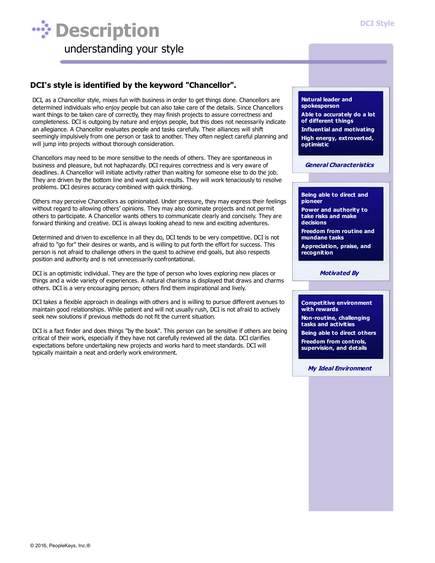

#### **DCI's style is identified by the keyword "Chancellor".**

DCI, as a Chancellor style, mixes fun with business in order to get things done. Chancellors are determined individuals who enjoy people but can also take care of the details. Since Chancellors want things to be taken care of correctly, they may finish projects to assure correctness and completeness. DCI is outgoing by nature and enjoys people, but this does not necessarily indicate an allegiance. A Chancellor evaluates people and tasks carefully. Their alliances will shift seemingly impulsively from one person or task to another. They often neglect careful planning and will jump into projects without thorough consideration.

Chancellors may need to be more sensitive to the needs of others. They are spontaneous in business and pleasure, but not haphazardly. DCI requires correctness and is very aware of deadlines. A Chancellor will initiate activity rather than waiting for someone else to do the job. They are driven by the bottom line and want quick results. They will work tenaciously to resolve problems. DCI desires accuracy combined with quick thinking.

Others may perceive Chancellors as opinionated. Under pressure, they may express their feelings without regard to allowing others' opinions. They may also dominate projects and not permit others to participate. A Chancellor wants others to communicate clearly and concisely. They are forward thinking and creative. DCI is always looking ahead to new and exciting adventures.

Determined and driven to excellence in all they do, DCI tends to be very competitive. DCI is not afraid to "go for" their desires or wants, and is willing to put forth the effort for success. This person is not afraid to challenge others in the quest to achieve end goals, but also respects position and authority and is not unnecessarily confrontational.

DCI is an optimistic individual. They are the type of person who loves exploring new places or things and a wide variety of experiences. A natural charisma is displayed that draws and charms others. DCI is a very encouraging person; others find them inspirational and lively.

DCI takes a flexible approach in dealings with others and is willing to pursue different avenues to maintain good relationships. While patient and will not usually rush, DCI is not afraid to actively seek new solutions if previous methods do not fit the current situation.

DCI is a fact finder and does things "by the book". This person can be sensitive if others are being critical of their work, especially if they have not carefully reviewed all the data. DCI clarifies expectations before undertaking new projects and works hard to meet standards. DCI will typically maintain a neat and orderly work environment.

**Natural leader and spokesperson Able to accurately do a lot of different things Influential and motivating High energy, extroverted, optimistic**

**General Characteristics**

**Being able to direct and pioneer Power and authority to take risks and make decisions**

**Freedom from routine and mundane tasks**

**Appreciation, praise, and recognition**

**Motivated By**

**Competitive environment with rewards Non-routine, challenging tasks and activities Being able to direct others Freedom from controls, supervision, and details**

**My Ideal Environment**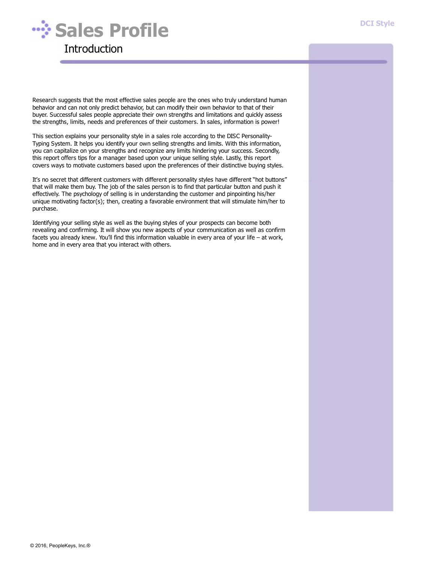

Research suggests that the most effective sales people are the ones who truly understand human behavior and can not only predict behavior, but can modify their own behavior to that of their buyer. Successful sales people appreciate their own strengths and limitations and quickly assess the strengths, limits, needs and preferences of their customers. In sales, information is power!

This section explains your personality style in a sales role according to the DISC Personality-Typing System. It helps you identify your own selling strengths and limits. With this information, you can capitalize on your strengths and recognize any limits hindering your success. Secondly, this report offers tips for a manager based upon your unique selling style. Lastly, this report covers ways to motivate customers based upon the preferences of their distinctive buying styles.

It's no secret that different customers with different personality styles have different "hot buttons" that will make them buy. The job of the sales person is to find that particular button and push it effectively. The psychology of selling is in understanding the customer and pinpointing his/her unique motivating factor(s); then, creating a favorable environment that will stimulate him/her to purchase.

Identifying your selling style as well as the buying styles of your prospects can become both revealing and confirming. It will show you new aspects of your communication as well as confirm facets you already knew. You'll find this information valuable in every area of your life – at work, home and in every area that you interact with others.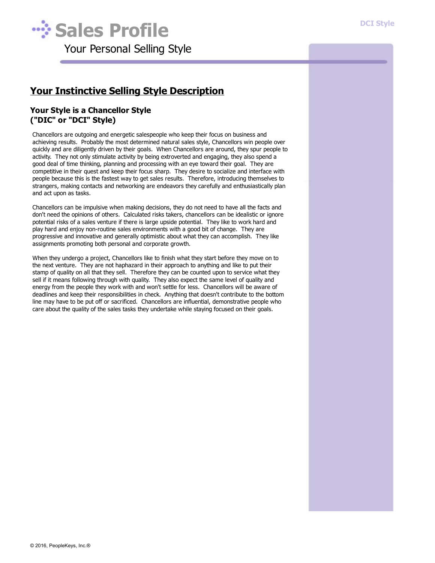

## **Your Instinctive Selling Style Description**

#### **Your Style is a Chancellor Style ("DIC" or "DCI" Style)**

Chancellors are outgoing and energetic salespeople who keep their focus on business and achieving results. Probably the most determined natural sales style, Chancellors win people over quickly and are diligently driven by their goals. When Chancellors are around, they spur people to activity. They not only stimulate activity by being extroverted and engaging, they also spend a good deal of time thinking, planning and processing with an eye toward their goal. They are competitive in their quest and keep their focus sharp. They desire to socialize and interface with people because this is the fastest way to get sales results. Therefore, introducing themselves to strangers, making contacts and networking are endeavors they carefully and enthusiastically plan and act upon as tasks.

Chancellors can be impulsive when making decisions, they do not need to have all the facts and don't need the opinions of others. Calculated risks takers, chancellors can be idealistic or ignore potential risks of a sales venture if there is large upside potential. They like to work hard and play hard and enjoy non-routine sales environments with a good bit of change. They are progressive and innovative and generally optimistic about what they can accomplish. They like assignments promoting both personal and corporate growth.

When they undergo a project, Chancellors like to finish what they start before they move on to the next venture. They are not haphazard in their approach to anything and like to put their stamp of quality on all that they sell. Therefore they can be counted upon to service what they sell if it means following through with quality. They also expect the same level of quality and energy from the people they work with and won't settle for less. Chancellors will be aware of deadlines and keep their responsibilities in check. Anything that doesn't contribute to the bottom line may have to be put off or sacrificed. Chancellors are influential, demonstrative people who care about the quality of the sales tasks they undertake while staying focused on their goals.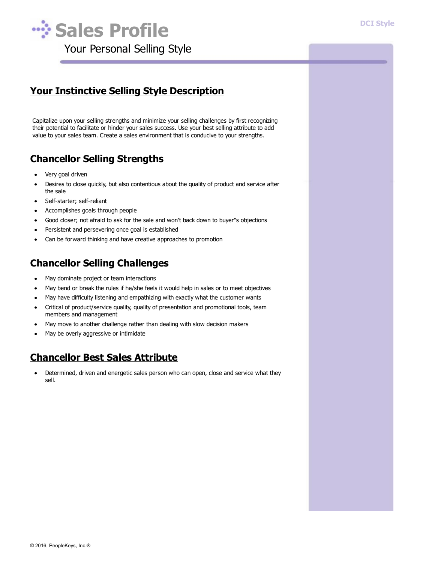

## **Your Instinctive Selling Style Description**

Capitalize upon your selling strengths and minimize your selling challenges by first recognizing their potential to facilitate or hinder your sales success. Use your best selling attribute to add value to your sales team. Create a sales environment that is conducive to your strengths.

## **Chancellor Selling Strengths**

- Very goal driven
- Desires to close quickly, but also contentious about the quality of product and service after  $\bullet$ the sale
- Self-starter; self-reliant  $\bullet$
- Accomplishes goals through people
- Good closer; not afraid to ask for the sale and won't back down to buyer"s objections
- Persistent and persevering once goal is established  $\bullet$
- Can be forward thinking and have creative approaches to promotion  $\bullet$

## **Chancellor Selling Challenges**

- May dominate project or team interactions  $\bullet$
- May bend or break the rules if he/she feels it would help in sales or to meet objectives  $\bullet$
- May have difficulty listening and empathizing with exactly what the customer wants  $\bullet$
- Critical of product/service quality, quality of presentation and promotional tools, team  $\bullet$ members and management
- May move to another challenge rather than dealing with slow decision makers
- May be overly aggressive or intimidate

## **Chancellor Best Sales Attribute**

 $\bullet$ Determined, driven and energetic sales person who can open, close and service what they sell.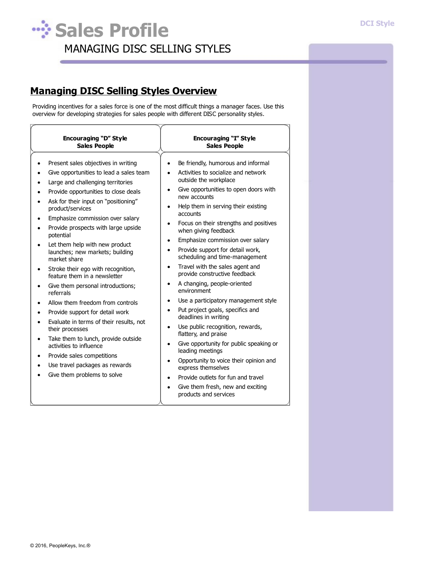## **Sales Profile** MANAGING DISC SELLING STYLES

## **Managing DISC Selling Styles Overview**

Providing incentives for a sales force is one of the most difficult things a manager faces. Use this overview for developing strategies for sales people with different DISC personality styles.

| <b>Encouraging "D" Style</b>                                                                                                                                                                                                                                                                                                                                                                                                                                                                                                                                                                                                                                                                                                                                                                                                            | <b>Encouraging "I" Style</b>                                                                                                                                                                                                                                                                                                                                                                                                                                                                                                                                                                                                                                                                                                                                                                                                                                                                                                                                                                                             |
|-----------------------------------------------------------------------------------------------------------------------------------------------------------------------------------------------------------------------------------------------------------------------------------------------------------------------------------------------------------------------------------------------------------------------------------------------------------------------------------------------------------------------------------------------------------------------------------------------------------------------------------------------------------------------------------------------------------------------------------------------------------------------------------------------------------------------------------------|--------------------------------------------------------------------------------------------------------------------------------------------------------------------------------------------------------------------------------------------------------------------------------------------------------------------------------------------------------------------------------------------------------------------------------------------------------------------------------------------------------------------------------------------------------------------------------------------------------------------------------------------------------------------------------------------------------------------------------------------------------------------------------------------------------------------------------------------------------------------------------------------------------------------------------------------------------------------------------------------------------------------------|
| <b>Sales People</b>                                                                                                                                                                                                                                                                                                                                                                                                                                                                                                                                                                                                                                                                                                                                                                                                                     | <b>Sales People</b>                                                                                                                                                                                                                                                                                                                                                                                                                                                                                                                                                                                                                                                                                                                                                                                                                                                                                                                                                                                                      |
| Present sales objectives in writing<br>Give opportunities to lead a sales team<br>Large and challenging territories<br>Provide opportunities to close deals<br>Ask for their input on "positioning"<br>product/services<br>Emphasize commission over salary<br>Provide prospects with large upside<br>potential<br>Let them help with new product<br>launches; new markets; building<br>market share<br>Stroke their ego with recognition,<br>feature them in a newsletter<br>Give them personal introductions;<br>٠<br>referrals<br>Allow them freedom from controls<br>Provide support for detail work<br>Evaluate in terms of their results, not<br>their processes<br>Take them to lunch, provide outside<br>activities to influence<br>Provide sales competitions<br>Use travel packages as rewards<br>Give them problems to solve | Be friendly, humorous and informal<br>Activities to socialize and network<br>outside the workplace<br>Give opportunities to open doors with<br>٠<br>new accounts<br>Help them in serving their existing<br>٠<br>accounts<br>Focus on their strengths and positives<br>٠<br>when giving feedback<br>Emphasize commission over salary<br>٠<br>Provide support for detail work,<br>$\bullet$<br>scheduling and time-management<br>Travel with the sales agent and<br>$\bullet$<br>provide constructive feedback<br>A changing, people-oriented<br>٠<br>environment<br>Use a participatory management style<br>٠<br>Put project goals, specifics and<br>٠<br>deadlines in writing<br>Use public recognition, rewards,<br>$\bullet$<br>flattery, and praise<br>Give opportunity for public speaking or<br>٠<br>leading meetings<br>Opportunity to voice their opinion and<br>$\bullet$<br>express themselves<br>Provide outlets for fun and travel<br>Give them fresh, new and exciting<br>$\bullet$<br>products and services |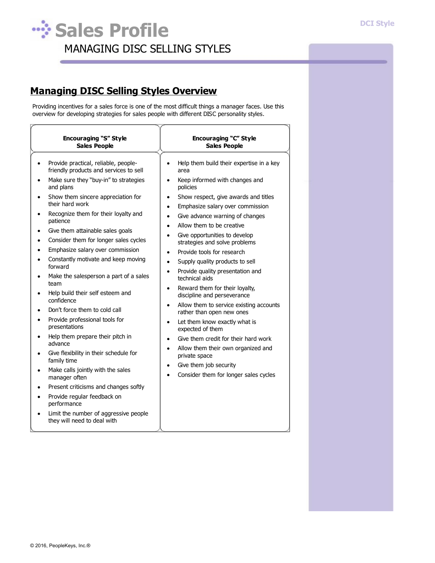$\overline{a}$ 

## **Sales Profile** MANAGING DISC SELLING STYLES

## **Managing DISC Selling Styles Overview**

Providing incentives for a sales force is one of the most difficult things a manager faces. Use this overview for developing strategies for sales people with different DISC personality styles.

| <b>Encouraging "S" Style</b><br><b>Sales People</b>                                                                                                                                                                                                                                                                                                                                                                                                                                                                                                                                                                                                                                                                                                                                                                                                                                                                     | Encouraging "C" Style<br><b>Sales People</b>                                                                                                                                                                                                                                                                                                                                                                                                                                                                                                                                                                                                                                                                                                                                                                                                                                                                                                                                                        |
|-------------------------------------------------------------------------------------------------------------------------------------------------------------------------------------------------------------------------------------------------------------------------------------------------------------------------------------------------------------------------------------------------------------------------------------------------------------------------------------------------------------------------------------------------------------------------------------------------------------------------------------------------------------------------------------------------------------------------------------------------------------------------------------------------------------------------------------------------------------------------------------------------------------------------|-----------------------------------------------------------------------------------------------------------------------------------------------------------------------------------------------------------------------------------------------------------------------------------------------------------------------------------------------------------------------------------------------------------------------------------------------------------------------------------------------------------------------------------------------------------------------------------------------------------------------------------------------------------------------------------------------------------------------------------------------------------------------------------------------------------------------------------------------------------------------------------------------------------------------------------------------------------------------------------------------------|
| Provide practical, reliable, people-<br>$\bullet$<br>friendly products and services to sell<br>Make sure they "buy-in" to strategies<br>and plans<br>Show them sincere appreciation for<br>their hard work<br>Recognize them for their loyalty and<br>patience<br>Give them attainable sales goals<br>Consider them for longer sales cycles<br>Emphasize salary over commission<br>Constantly motivate and keep moving<br>forward<br>Make the salesperson a part of a sales<br>team<br>Help build their self esteem and<br>confidence<br>Don't force them to cold call<br>Provide professional tools for<br>presentations<br>Help them prepare their pitch in<br>advance<br>Give flexibility in their schedule for<br>family time<br>Make calls jointly with the sales<br>manager often<br>Present criticisms and changes softly<br>Provide regular feedback on<br>performance<br>Limit the number of aggressive people | Help them build their expertise in a key<br>$\bullet$<br>area<br>Keep informed with changes and<br>$\bullet$<br>policies<br>Show respect, give awards and titles<br>$\bullet$<br>Emphasize salary over commission<br>$\bullet$<br>Give advance warning of changes<br>٠<br>Allow them to be creative<br>$\bullet$<br>Give opportunities to develop<br>strategies and solve problems<br>Provide tools for research<br>$\bullet$<br>Supply quality products to sell<br>$\bullet$<br>Provide quality presentation and<br>$\bullet$<br>technical aids<br>Reward them for their loyalty,<br>$\bullet$<br>discipline and perseverance<br>Allow them to service existing accounts<br>$\bullet$<br>rather than open new ones<br>Let them know exactly what is<br>$\bullet$<br>expected of them<br>Give them credit for their hard work<br>٠<br>Allow them their own organized and<br>$\bullet$<br>private space<br>Give them job security<br>$\bullet$<br>Consider them for longer sales cycles<br>$\bullet$ |
| they will need to deal with                                                                                                                                                                                                                                                                                                                                                                                                                                                                                                                                                                                                                                                                                                                                                                                                                                                                                             |                                                                                                                                                                                                                                                                                                                                                                                                                                                                                                                                                                                                                                                                                                                                                                                                                                                                                                                                                                                                     |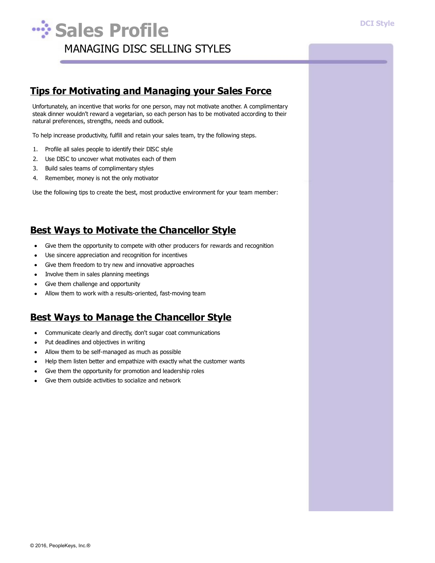

## **Tips for Motivating and Managing your Sales Force**

Unfortunately, an incentive that works for one person, may not motivate another. A complimentary steak dinner wouldn't reward a vegetarian, so each person has to be motivated according to their natural preferences, strengths, needs and outlook.

To help increase productivity, fulfill and retain your sales team, try the following steps.

- 1. Profile all sales people to identify their DISC style
- 2. Use DISC to uncover what motivates each of them
- 3. Build sales teams of complimentary styles
- 4. Remember, money is not the only motivator

Use the following tips to create the best, most productive environment for your team member:

## **Best Ways to Motivate the Chancellor Style**

- Give them the opportunity to compete with other producers for rewards and recognition  $\bullet$
- Use sincere appreciation and recognition for incentives
- Give them freedom to try new and innovative approaches
- Involve them in sales planning meetings  $\bullet$
- Give them challenge and opportunity
- Allow them to work with a results-oriented, fast-moving team  $\bullet$

## **Best Ways to Manage the Chancellor Style**

- Communicate clearly and directly, don't sugar coat communications  $\bullet$
- Put deadlines and objectives in writing  $\bullet$
- Allow them to be self-managed as much as possible  $\bullet$
- Help them listen better and empathize with exactly what the customer wants  $\bullet$
- Give them the opportunity for promotion and leadership roles
- Give them outside activities to socialize and network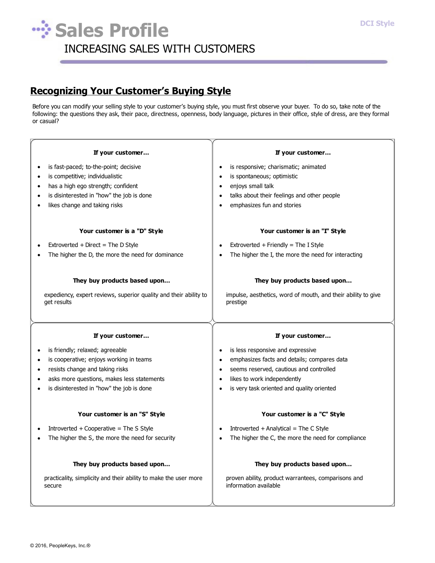Л

# **Wish Sales Profile** INCREASING SALES WITH CUSTOMERS

## **Recognizing Your Customer's Buying Style**

Before you can modify your selling style to your customer's buying style, you must first observe your buyer. To do so, take note of the following: the questions they ask, their pace, directness, openness, body language, pictures in their office, style of dress, are they formal or casual?

| If your customer                                                                 | If your customer                                                          |  |
|----------------------------------------------------------------------------------|---------------------------------------------------------------------------|--|
| is fast-paced; to-the-point; decisive<br>$\bullet$                               | is responsive; charismatic; animated                                      |  |
| is competitive; individualistic                                                  | is spontaneous; optimistic<br>$\bullet$                                   |  |
| has a high ego strength; confident                                               | enjoys small talk<br>$\bullet$                                            |  |
| is disinterested in "how" the job is done                                        | talks about their feelings and other people                               |  |
| likes change and taking risks                                                    | emphasizes fun and stories                                                |  |
| Your customer is a "D" Style                                                     | Your customer is an "I" Style                                             |  |
| Extroverted + Direct = The D Style                                               | Extroverted + Friendly = The I Style                                      |  |
| The higher the D, the more the need for dominance                                | The higher the I, the more the need for interacting                       |  |
| They buy products based upon                                                     | They buy products based upon                                              |  |
| expediency, expert reviews, superior quality and their ability to<br>get results | impulse, aesthetics, word of mouth, and their ability to give<br>prestige |  |
|                                                                                  |                                                                           |  |
| If your customer                                                                 | If your customer                                                          |  |
| is friendly; relaxed; agreeable                                                  | is less responsive and expressive<br>$\bullet$                            |  |
| is cooperative; enjoys working in teams                                          | emphasizes facts and details; compares data<br>$\bullet$                  |  |
| resists change and taking risks                                                  | seems reserved, cautious and controlled<br>$\bullet$                      |  |
| asks more questions, makes less statements                                       | likes to work independently<br>$\bullet$                                  |  |
| is disinterested in "how" the job is done                                        | is very task oriented and quality oriented<br>$\bullet$                   |  |
| Your customer is an "S" Style                                                    | Your customer is a "C" Style                                              |  |
| Introverted $+$ Cooperative = The S Style                                        | Introverted $+$ Analytical = The C Style                                  |  |
| The higher the S, the more the need for security                                 | The higher the C, the more the need for compliance                        |  |
| They buy products based upon                                                     | They buy products based upon                                              |  |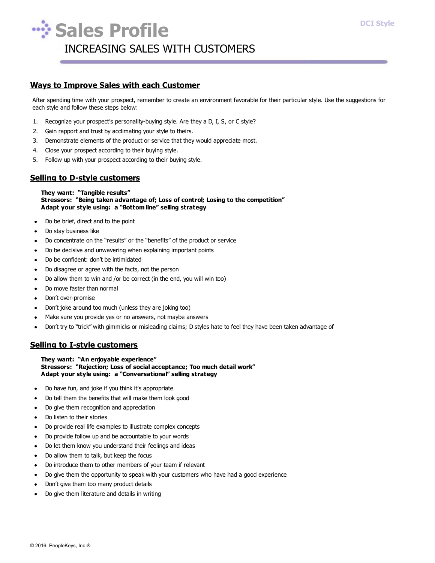

#### **Ways to Improve Sales with each Customer**

After spending time with your prospect, remember to create an environment favorable for their particular style. Use the suggestions for each style and follow these steps below:

- 1. Recognize your prospect's personality-buying style. Are they a D, I, S, or C style?
- 2. Gain rapport and trust by acclimating your style to theirs.
- 3. Demonstrate elements of the product or service that they would appreciate most.
- 4. Close your prospect according to their buying style.
- 5. Follow up with your prospect according to their buying style.

#### **Selling to D-style customers**

**They want: "Tangible results" Stressors: "Being taken advantage of; Loss of control; Losing to the competition" Adapt your style using: a "Bottom line" selling strategy**

- Do be brief, direct and to the point
- Do stay business like
- Do concentrate on the "results" or the "benefits" of the product or service
- Do be decisive and unwavering when explaining important points
- Do be confident: don't be intimidated  $\bullet$
- Do disagree or agree with the facts, not the person  $\bullet$
- Do allow them to win and /or be correct (in the end, you will win too)  $\bullet$
- Do move faster than normal ×.
- Don't over-promise
- Don't joke around too much (unless they are joking too)
- Make sure you provide yes or no answers, not maybe answers
- $\bullet$ Don't try to "trick" with gimmicks or misleading claims; D styles hate to feel they have been taken advantage of

#### **Selling to I-style customers**

**They want: "An enjoyable experience" Stressors: "Rejection; Loss of social acceptance; Too much detail work" Adapt your style using: a "Conversational" selling strategy**

- Do have fun, and joke if you think it's appropriate
- Do tell them the benefits that will make them look good
- Do give them recognition and appreciation
- Do listen to their stories  $\bullet$
- Do provide real life examples to illustrate complex concepts  $\bullet$
- Do provide follow up and be accountable to your words  $\bullet$
- Do let them know you understand their feelings and ideas  $\bullet$
- $\bullet$ Do allow them to talk, but keep the focus
- Do introduce them to other members of your team if relevant
- Do give them the opportunity to speak with your customers who have had a good experience
- Don't give them too many product details
- Do give them literature and details in writing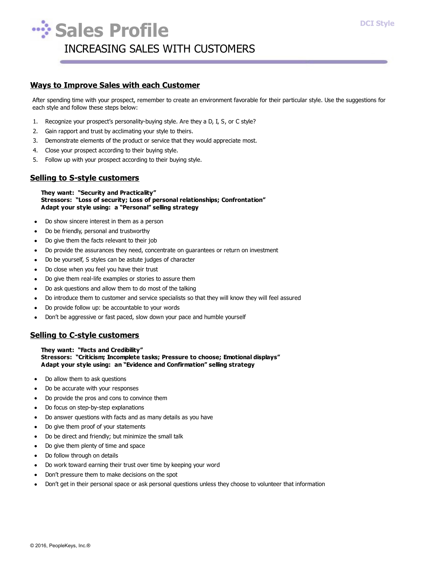

#### **Ways to Improve Sales with each Customer**

After spending time with your prospect, remember to create an environment favorable for their particular style. Use the suggestions for each style and follow these steps below:

- 1. Recognize your prospect's personality-buying style. Are they a D, I, S, or C style?
- 2. Gain rapport and trust by acclimating your style to theirs.
- 3. Demonstrate elements of the product or service that they would appreciate most.
- 4. Close your prospect according to their buying style.
- 5. Follow up with your prospect according to their buying style.

#### **Selling to S-style customers**

#### **They want: "Security and Practicality" Stressors: "Loss of security; Loss of personal relationships; Confrontation" Adapt your style using: a "Personal" selling strategy**

- Do show sincere interest in them as a person
- Do be friendly, personal and trustworthy  $\bullet$
- Do give them the facts relevant to their job
- Do provide the assurances they need, concentrate on guarantees or return on investment  $\bullet$
- Do be yourself, S styles can be astute judges of character  $\bullet$
- Do close when you feel you have their trust  $\bullet$
- Do give them real-life examples or stories to assure them  $\bullet$
- Do ask questions and allow them to do most of the talking ×.
- Do introduce them to customer and service specialists so that they will know they will feel assured
- Do provide follow up: be accountable to your words
- Don't be aggressive or fast paced, slow down your pace and humble yourself

#### **Selling to C-style customers**

**They want: "Facts and Credibility" Stressors: "Criticism; Incomplete tasks; Pressure to choose; Emotional displays" Adapt your style using: an "Evidence and Confirmation" selling strategy**

- Do allow them to ask questions
- Do be accurate with your responses
- Do provide the pros and cons to convince them
- Do focus on step-by-step explanations  $\bullet$
- Do answer questions with facts and as many details as you have  $\bullet$
- Do give them proof of your statements  $\bullet$
- Do be direct and friendly; but minimize the small talk  $\bullet$
- Do give them plenty of time and space  $\bullet$
- $\bullet$ Do follow through on details
- Do work toward earning their trust over time by keeping your word
- Don't pressure them to make decisions on the spot
- Don't get in their personal space or ask personal questions unless they choose to volunteer that information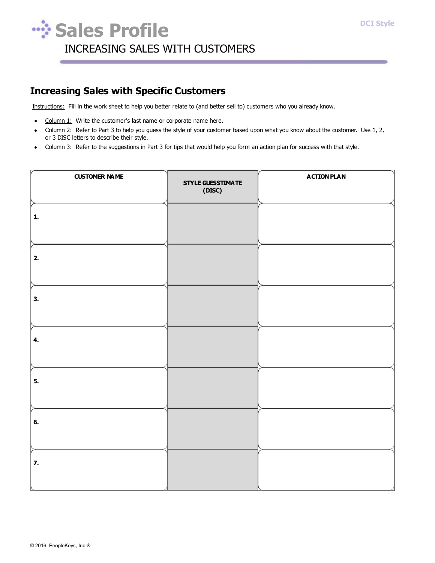

## **Increasing Sales with Specific Customers**

Instructions: Fill in the work sheet to help you better relate to (and better sell to) customers who you already know.

- Column 1: Write the customer's last name or corporate name here.
- Column 2: Refer to Part 3 to help you guess the style of your customer based upon what you know about the customer. Use 1, 2,  $\bullet$ or 3 DISC letters to describe their style.
- Column 3: Refer to the suggestions in Part 3 for tips that would help you form an action plan for success with that style.

| <b>CUSTOMER NAME</b> | STYLE GUESSTIMATE<br>(DISC) | <b>ACTION PLAN</b> |
|----------------------|-----------------------------|--------------------|
| 1.                   |                             |                    |
| 2.                   |                             |                    |
| 3.                   |                             |                    |
| 4.                   |                             |                    |
| 5.                   |                             |                    |
| 6.                   |                             |                    |
| 7.                   |                             |                    |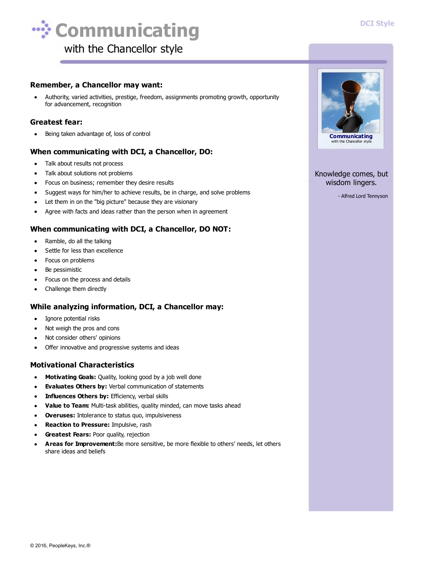#### **DCI Style**



#### **Remember, a Chancellor may want:**

Authority, varied activities, prestige, freedom, assignments promoting growth, opportunity for advancement, recognition

#### **Greatest fear:**

Being taken advantage of, loss of control  $\bullet$ 

#### **When communicating with DCI, a Chancellor, DO:**

- Talk about results not process
- Talk about solutions not problems  $\bullet$
- Focus on business; remember they desire results
- Suggest ways for him/her to achieve results, be in charge, and solve problems  $\bullet$
- Let them in on the "big picture" because they are visionary
- Agree with facts and ideas rather than the person when in agreement  $\bullet$

#### **When communicating with DCI, a Chancellor, DO NOT:**

- Ramble, do all the talking  $\bullet$
- Settle for less than excellence  $\bullet$
- Focus on problems
- Be pessimistic
- Focus on the process and details
- Challenge them directly  $\bullet$

#### **While analyzing information, DCI, a Chancellor may:**

- Ignore potential risks  $\bullet$
- Not weigh the pros and cons
- Not consider others' opinions
- Offer innovative and progressive systems and ideas  $\bullet$

#### **Motivational Characteristics**

- **Motivating Goals:** Quality, looking good by a job well done
- **Evaluates Others by:** Verbal communication of statements
- **Influences Others by:** Efficiency, verbal skills  $\bullet$
- **Value to Team:** Multi-task abilities, quality minded, can move tasks ahead  $\bullet$
- **Overuses:** Intolerance to status quo, impulsiveness  $\bullet$
- $\bullet$ **Reaction to Pressure:** Impulsive, rash
- **Greatest Fears:** Poor quality, rejection
- **Areas for Improvement:**Be more sensitive, be more flexible to others' needs, let others share ideas and beliefs



#### Knowledge comes, but wisdom lingers.

- Alfred Lord Tennyson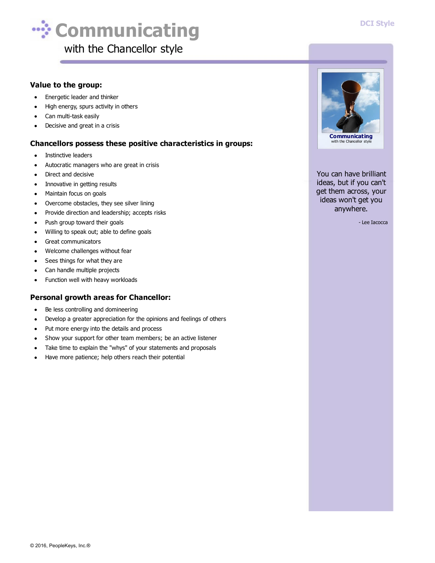

#### **Value to the group:**

- Energetic leader and thinker  $\bullet$
- High energy, spurs activity in others
- Can multi-task easily
- Decisive and great in a crisis

#### **Chancellors possess these positive characteristics in groups:**

- Instinctive leaders  $\bullet$
- Autocratic managers who are great in crisis
- Direct and decisive
- Innovative in getting results  $\bullet$
- Maintain focus on goals  $\bullet$
- Overcome obstacles, they see silver lining  $\bullet$
- Provide direction and leadership; accepts risks  $\bullet$
- Push group toward their goals  $\bullet$
- Willing to speak out; able to define goals  $\bullet$
- $\bullet$ Great communicators
- Welcome challenges without fear  $\bullet$
- $\bullet$ Sees things for what they are
- Can handle multiple projects  $\bullet$
- $\bullet$ Function well with heavy workloads

#### **Personal growth areas for Chancellor:**

- Be less controlling and domineering
- Develop a greater appreciation for the opinions and feelings of others  $\bullet$
- Put more energy into the details and process  $\bullet$
- Show your support for other team members; be an active listener  $\bullet$
- Take time to explain the "whys" of your statements and proposals
- Have more patience; help others reach their potential  $\bullet$



You can have brilliant ideas, but if you can't get them across, your ideas won't get you anywhere.

- Lee Iacocca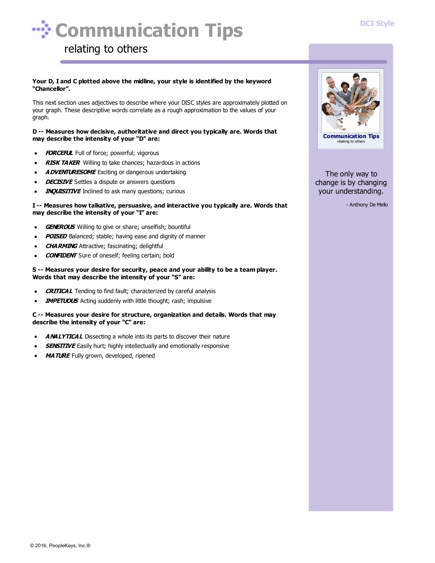#### **DCI Style**



## relating to others

#### **Your D, I and C plotted above the midline, your style is identified by the keyword "Chancellor".**

This next section uses adjectives to describe where your DISC styles are approximately plotted on your graph. These descriptive words correlate as a rough approximation to the values of your graph.

#### **D -- Measures how decisive, authoritative and direct you typically are. Words that may describe the intensity of your "D" are:**

- $\bullet$ **FORCEFUL** Full of force; powerful; vigorous
- **RISK TAKER** Willing to take chances; hazardous in actions  $\bullet$
- **ADVENTURESOME** Exciting or dangerous undertaking
- **DECISIVE** Settles a dispute or answers questions
- **INQUISITIVE** Inclined to ask many questions; curious

#### **I -- Measures how talkative, persuasive, and interactive you typically are. Words that may describe the intensity of your "I" are:**

- **GENEROUS** Willing to give or share; unselfish; bountiful
- **POISED** Balanced; stable; having ease and dignity of manner
- **CHARMING** Attractive; fascinating; delightful
- **CONFIDENT** Sure of oneself; feeling certain; bold

#### **S -- Measures your desire for security, peace and your ability to be a team player. Words that may describe the intensity of your "S" are:**

- **CRITICAL** Tending to find fault; characterized by careful analysis
- **IMPETUOUS** Acting suddenly with little thought; rash; impulsive

#### **C -- Measures your desire for structure, organization and details. Words that may describe the intensity of your "C" are:**

- **ANALYTICAL** Dissecting a whole into its parts to discover their nature
- **SENSITIVE** Easily hurt; highly intellectually and emotionally responsive
- **MATURE** Fully grown, developed, ripened



The only way to change is by changing your understanding.

- Anthony De Mello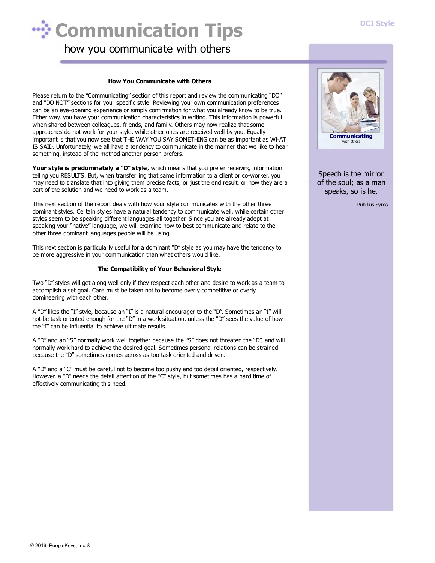

how you communicate with others

#### **How You Communicate with Others**

Please return to the "Communicating" section of this report and review the communicating "DO" and "DO NOT" sections for your specific style. Reviewing your own communication preferences can be an eye-opening experience or simply confirmation for what you already know to be true. Either way, you have your communication characteristics in writing. This information is powerful when shared between colleagues, friends, and family. Others may now realize that some approaches do not work for your style, while other ones are received well by you. Equally important is that you now see that THE WAY YOU SAY SOMETHING can be as important as WHAT IS SAID. Unfortunately, we all have a tendency to communicate in the manner that we like to hear something, instead of the method another person prefers.

**Your style is predominately a "D" style**, which means that you prefer receiving information telling you RESULTS. But, when transferring that same information to a client or co-worker, you may need to translate that into giving them precise facts, or just the end result, or how they are a part of the solution and we need to work as a team.

This next section of the report deals with how your style communicates with the other three dominant styles. Certain styles have a natural tendency to communicate well, while certain other styles seem to be speaking different languages all together. Since you are already adept at speaking your "native" language, we will examine how to best communicate and relate to the other three dominant languages people will be using.

This next section is particularly useful for a dominant "D" style as you may have the tendency to be more aggressive in your communication than what others would like.

#### **The Compatibility of Your Behavioral Style**

Two "D" styles will get along well only if they respect each other and desire to work as a team to accomplish a set goal. Care must be taken not to become overly competitive or overly domineering with each other.

A "D" likes the "I" style, because an "I" is a natural encourager to the "D". Sometimes an "I" will not be task oriented enough for the "D" in a work situation, unless the "D" sees the value of how the "I" can be influential to achieve ultimate results.

A "D" and an "S" normally work well together because the "S" does not threaten the "D", and will normally work hard to achieve the desired goal. Sometimes personal relations can be strained because the "D" sometimes comes across as too task oriented and driven.

A "D" and a "C" must be careful not to become too pushy and too detail oriented, respectively. However, a "D" needs the detail attention of the "C" style, but sometimes has a hard time of effectively communicating this need.



Speech is the mirror of the soul; as a man speaks, so is he.

- Publilius Syros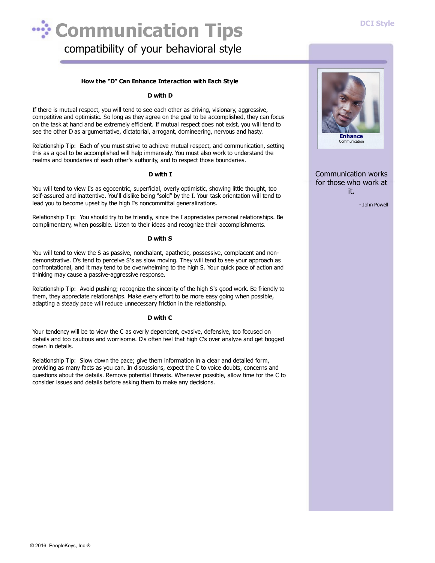

#### **How the "D" Can Enhance Interaction with Each Style**

#### **D with D**

If there is mutual respect, you will tend to see each other as driving, visionary, aggressive, competitive and optimistic. So long as they agree on the goal to be accomplished, they can focus on the task at hand and be extremely efficient. If mutual respect does not exist, you will tend to see the other D as argumentative, dictatorial, arrogant, domineering, nervous and hasty.

Relationship Tip: Each of you must strive to achieve mutual respect, and communication, setting this as a goal to be accomplished will help immensely. You must also work to understand the realms and boundaries of each other's authority, and to respect those boundaries.

#### **D with I**

You will tend to view I's as egocentric, superficial, overly optimistic, showing little thought, too self-assured and inattentive. You'll dislike being "sold" by the I. Your task orientation will tend to lead you to become upset by the high I's noncommittal generalizations.

Relationship Tip: You should try to be friendly, since the I appreciates personal relationships. Be complimentary, when possible. Listen to their ideas and recognize their accomplishments.

#### **D with S**

You will tend to view the S as passive, nonchalant, apathetic, possessive, complacent and nondemonstrative. D's tend to perceive S's as slow moving. They will tend to see your approach as confrontational, and it may tend to be overwhelming to the high S. Your quick pace of action and thinking may cause a passive-aggressive response.

Relationship Tip: Avoid pushing; recognize the sincerity of the high S's good work. Be friendly to them, they appreciate relationships. Make every effort to be more easy going when possible, adapting a steady pace will reduce unnecessary friction in the relationship.

#### **D with C**

Your tendency will be to view the C as overly dependent, evasive, defensive, too focused on details and too cautious and worrisome. D's often feel that high C's over analyze and get bogged down in details.

Relationship Tip: Slow down the pace; give them information in a clear and detailed form, providing as many facts as you can. In discussions, expect the C to voice doubts, concerns and questions about the details. Remove potential threats. Whenever possible, allow time for the C to consider issues and details before asking them to make any decisions.



Communication works for those who work at it.

- John Powell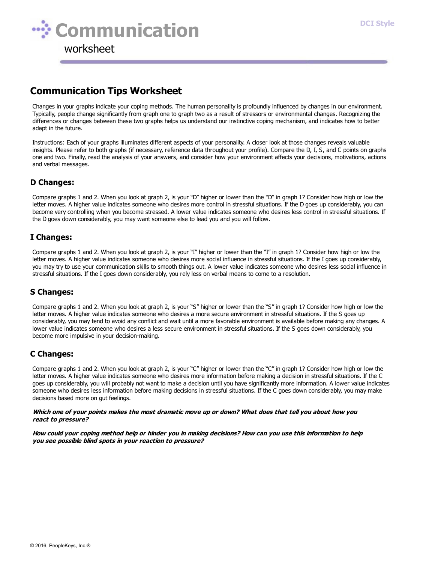

## **Communication Tips Worksheet**

Changes in your graphs indicate your coping methods. The human personality is profoundly influenced by changes in our environment. Typically, people change significantly from graph one to graph two as a result of stressors or environmental changes. Recognizing the differences or changes between these two graphs helps us understand our instinctive coping mechanism, and indicates how to better adapt in the future.

Instructions: Each of your graphs illuminates different aspects of your personality. A closer look at those changes reveals valuable insights. Please refer to both graphs (if necessary, reference data throughout your profile). Compare the D, I, S, and C points on graphs one and two. Finally, read the analysis of your answers, and consider how your environment affects your decisions, motivations, actions and verbal messages.

#### **D Changes:**

Compare graphs 1 and 2. When you look at graph 2, is your "D" higher or lower than the "D" in graph 1? Consider how high or low the letter moves. A higher value indicates someone who desires more control in stressful situations. If the D goes up considerably, you can become very controlling when you become stressed. A lower value indicates someone who desires less control in stressful situations. If the D goes down considerably, you may want someone else to lead you and you will follow.

#### **I Changes:**

Compare graphs 1 and 2. When you look at graph 2, is your "I" higher or lower than the "I" in graph 1? Consider how high or low the letter moves. A higher value indicates someone who desires more social influence in stressful situations. If the I goes up considerably, you may try to use your communication skills to smooth things out. A lower value indicates someone who desires less social influence in stressful situations. If the I goes down considerably, you rely less on verbal means to come to a resolution.

#### **S Changes:**

Compare graphs 1 and 2. When you look at graph 2, is your "S" higher or lower than the "S" in graph 1? Consider how high or low the letter moves. A higher value indicates someone who desires a more secure environment in stressful situations. If the S goes up considerably, you may tend to avoid any conflict and wait until a more favorable environment is available before making any changes. A lower value indicates someone who desires a less secure environment in stressful situations. If the S goes down considerably, you become more impulsive in your decision-making.

#### **C Changes:**

Compare graphs 1 and 2. When you look at graph 2, is your "C" higher or lower than the "C" in graph 1? Consider how high or low the letter moves. A higher value indicates someone who desires more information before making a decision in stressful situations. If the C goes up considerably, you will probably not want to make a decision until you have significantly more information. A lower value indicates someone who desires less information before making decisions in stressful situations. If the C goes down considerably, you may make decisions based more on gut feelings.

#### Which one of your points makes the most dramatic move up or down? What does that tell you about how you **react to pressure?**

How could your coping method help or hinder you in making decisions? How can you use this information to help **you see possible blind spots in your reaction to pressure?**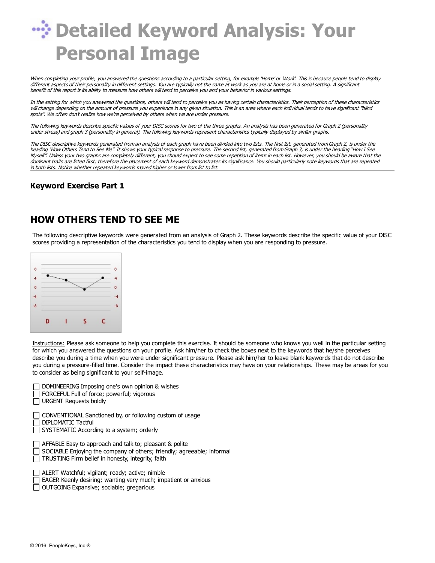# *W***: Detailed Keyword Analysis: Your Personal Image**

When completing your profile, you answered the questions according to <sup>a</sup> particular setting, for example 'Home' or 'Work'. This is because people tend to display different aspects of their personality in different settings. You are typically not the same at work as you are at home or in <sup>a</sup> social setting. A significant benefit of this report is its ability to measure how others will tend to perceive you and your behavior in various settings.

In the setting for which you answered the questions, others will tend to perceive you as having certain characteristics. Their perception of these characteristics will change depending on the amount of pressure you experience in any given situation. This is an area where each individual tends to have significant "blind spots". We often don't realize how we're perceived by others when we are under pressure.

The following keywords describe specific values of your DISC scores for two of the three graphs. An analysis has been generated for Graph 2 (personality under stress) and graph 3 (personality in general). The following keywords represent characteristics typically displayed by similar graphs.

The DISC descriptive keywords generated from an analysis of each graph have been divided into two lists. The first list, generated from Graph 2, is under the heading "How Others Tend to See Me". It shows your typical response to pressure. The second list, generated from Graph 3, is under the heading "How I See Myself". Unless your two graphs are completely different, you should expect to see some repetition of items in each list. However, you should be aware that the dominant traits are listed first; therefore the placement of each keyword demonstrates its significance. You should particularly note keywords that are repeated in both lists. Notice whether repeated keywords moved higher or lower from list to list.

#### **Keyword Exercise Part 1**

### **HOW OTHERS TEND TO SEE ME**

The following descriptive keywords were generated from an analysis of Graph 2. These keywords describe the specific value of your DISC scores providing a representation of the characteristics you tend to display when you are responding to pressure.



Instructions: Please ask someone to help you complete this exercise. It should be someone who knows you well in the particular setting for which you answered the questions on your profile. Ask him/her to check the boxes next to the keywords that he/she perceives describe you during a time when you were under significant pressure. Please ask him/her to leave blank keywords that do not describe you during a pressure-filled time. Consider the impact these characteristics may have on your relationships. These may be areas for you to consider as being significant to your self-image.

| DOMINEERING Imposing one's own opinion & wishes<br>FORCEFUL Full of force; powerful; vigorous<br><b>URGENT Requests boldly</b>                                                         |
|----------------------------------------------------------------------------------------------------------------------------------------------------------------------------------------|
| CONVENTIONAL Sanctioned by, or following custom of usage<br>DIPLOMATIC Tactful<br>SYSTEMATIC According to a system; orderly                                                            |
| AFFABLE Easy to approach and talk to; pleasant & polite<br>SOCIABLE Enjoying the company of others; friendly; agreeable; informal<br>TRUSTING Firm belief in honesty, integrity, faith |
| ALERT Watchful; vigilant; ready; active; nimble<br>EAGER Keenly desiring; wanting very much; impatient or anxious                                                                      |

OUTGOING Expansive; sociable; gregarious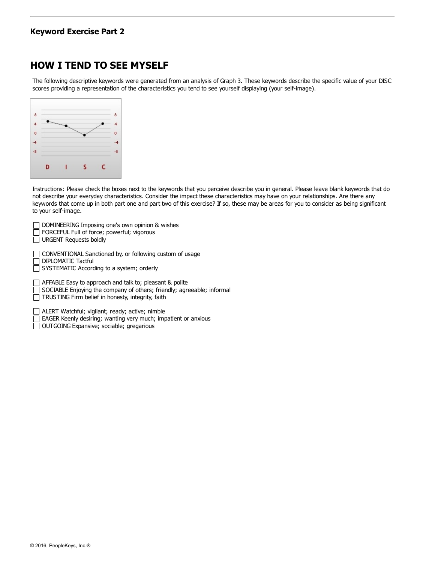#### **Keyword Exercise Part 2**

## **HOW I TEND TO SEE MYSELF**

The following descriptive keywords were generated from an analysis of Graph 3. These keywords describe the specific value of your DISC scores providing a representation of the characteristics you tend to see yourself displaying (your self-image).

| 8    |   |                                                                                                                                                                                                                                                                                                                                                                                                                                               |   |    | 8  |
|------|---|-----------------------------------------------------------------------------------------------------------------------------------------------------------------------------------------------------------------------------------------------------------------------------------------------------------------------------------------------------------------------------------------------------------------------------------------------|---|----|----|
|      |   | $\frac{1}{2} \left( \frac{1}{2} \right)^{2} \left( \frac{1}{2} \right)^{2} \left( \frac{1}{2} \right)^{2} \left( \frac{1}{2} \right)^{2} \left( \frac{1}{2} \right)^{2} \left( \frac{1}{2} \right)^{2} \left( \frac{1}{2} \right)^{2} \left( \frac{1}{2} \right)^{2} \left( \frac{1}{2} \right)^{2} \left( \frac{1}{2} \right)^{2} \left( \frac{1}{2} \right)^{2} \left( \frac{1}{2} \right)^{2} \left( \frac{1}{2} \right)^{2} \left( \frac$ |   |    |    |
| o    |   | ー                                                                                                                                                                                                                                                                                                                                                                                                                                             |   |    | ō  |
| z    |   |                                                                                                                                                                                                                                                                                                                                                                                                                                               |   |    |    |
| $-8$ |   |                                                                                                                                                                                                                                                                                                                                                                                                                                               |   |    | -8 |
|      | D |                                                                                                                                                                                                                                                                                                                                                                                                                                               | ς | C. |    |

Instructions: Please check the boxes next to the keywords that you perceive describe you in general. Please leave blank keywords that do not describe your everyday characteristics. Consider the impact these characteristics may have on your relationships. Are there any keywords that come up in both part one and part two of this exercise? If so, these may be areas for you to consider as being significant to your self-image.

| DOMINEERING Imposing one's own opinion & wishes<br>FORCEFUL Full of force; powerful; vigorous<br><b>URGENT Requests boldly</b>                                                         |
|----------------------------------------------------------------------------------------------------------------------------------------------------------------------------------------|
| CONVENTIONAL Sanctioned by, or following custom of usage<br>DIPLOMATIC Tactful<br>SYSTEMATIC According to a system; orderly                                                            |
| AFFABLE Easy to approach and talk to; pleasant & polite<br>SOCIABLE Enjoying the company of others; friendly; agreeable; informal<br>TRUSTING Firm belief in honesty, integrity, faith |
| ALEDT Watchful vigilant: roady: active: pimble                                                                                                                                         |

ALERT Watchful; vigilant; ready; active; nimble EAGER Keenly desiring; wanting very much; impatient or anxious

OUTGOING Expansive; sociable; gregarious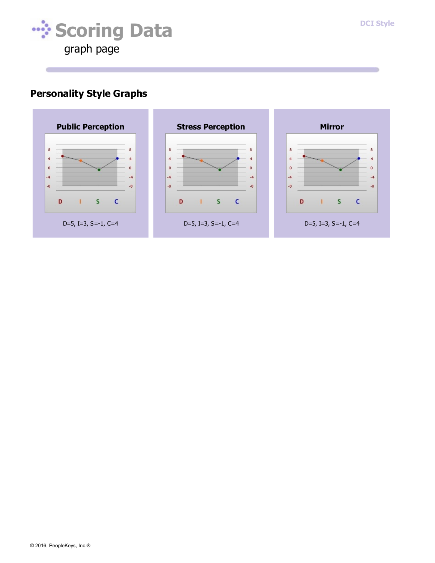

## **Personality Style Graphs**

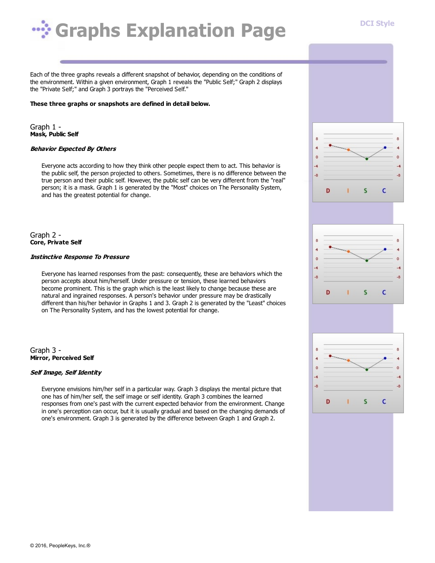# **Wighthareal** *Explanation* Page

Each of the three graphs reveals a different snapshot of behavior, depending on the conditions of the environment. Within a given environment, Graph 1 reveals the "Public Self;" Graph 2 displays the "Private Self;" and Graph 3 portrays the "Perceived Self."

#### **These three graphs or snapshots are defined in detail below.**

Graph 1 - **Mask, Public Self**

#### **Behavior Expected By Others**

Everyone acts according to how they think other people expect them to act. This behavior is the public self, the person projected to others. Sometimes, there is no difference between the true person and their public self. However, the public self can be very different from the "real" person; it is a mask. Graph 1 is generated by the "Most" choices on The Personality System, and has the greatest potential for change.

Graph 2 - **Core, Private Self**

#### **Instinctive Response To Pressure**

Everyone has learned responses from the past: consequently, these are behaviors which the person accepts about him/herself. Under pressure or tension, these learned behaviors become prominent. This is the graph which is the least likely to change because these are natural and ingrained responses. A person's behavior under pressure may be drastically different than his/her behavior in Graphs 1 and 3. Graph 2 is generated by the "Least" choices on The Personality System, and has the lowest potential for change.

Graph 3 - **Mirror, Perceived Self**

#### **Self Image, Self Identity**

Everyone envisions him/her self in a particular way. Graph 3 displays the mental picture that one has of him/her self, the self image or self identity. Graph 3 combines the learned responses from one's past with the current expected behavior from the environment. Change in one's perception can occur, but it is usually gradual and based on the changing demands of one's environment. Graph 3 is generated by the difference between Graph 1 and Graph 2.



**DCI Style**